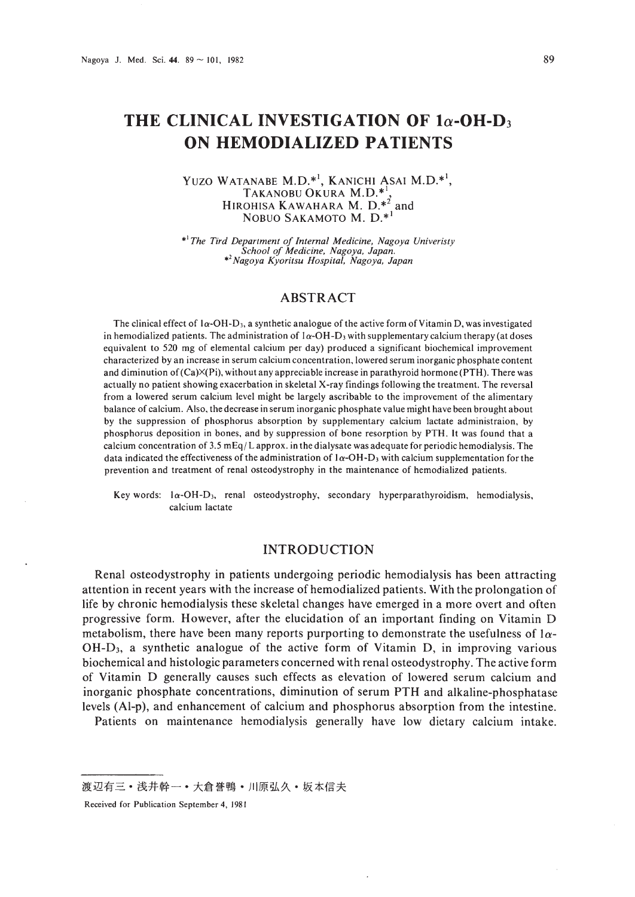# **THE CLINICAL INVESTIGATION OF la-OH-D3 ON HEMODIALIZED PATIENTS**

#### YUZO WATANABE M.D.\*<sup>1</sup>, KANICHI ASAI M.D.\*<sup>1</sup>, TAKANOBU OKURA M.O.\*', HIROHISA KAWAHARA M.  $D.*^2$  and NOBUO SAKAMOTO M. D.\*<sup>1</sup>

.1 *The Tird Department of Internal Medicine, Nagoya Univeristy School of Medicine, Nagoya, Japan.* •' *Nagoya Kyoritsu Hospital, Nagoya, Japan*

# ABSTRACT

The clinical effect of  $1\alpha$ -OH-D<sub>3</sub>, a synthetic analogue of the active form of Vitamin D, was investigated in hemodialized patients. The administration of  $1\alpha$ -OH-D<sub>3</sub> with supplementary calcium therapy (at doses equivalent to 520 mg of elemental calcium per day) produced a significant biochemical improvement characterized by an increase in serum calcium concentration. lowered serum inorganic phosphate content and diminution of  $(Ca)X(Pi)$ , without any appreciable increase in parathyroid hormone (PTH). There was actually no patient showing exacerbation in skeletal X-ray findings following the treatment. The reversal from a lowered serum calcium level might be largely ascribable to the improvement of the alimentary balance of calcium. Also. the decrease in serum inorganic phosphate value might have been brought about by the suppression of phosphorus absorption by supplementary calcium lactate administraion. by phosphorus deposition in bones, and by suppression of bone resorption by PTH. It was found that a calcium concentration of  $3.5 \text{ mEq/L}$  approx. in the dialysate was adequate for periodic hemodialysis. The data indicated the effectiveness of the administration of  $1\alpha$ -OH-D<sub>3</sub> with calcium supplementation for the prevention and treatment of renal osteodystrophy in the maintenance of hemodialized patients.

Key words: la-OH-D), renal osteodystrophy. secondary hyperparathyroidism, hemodialysis, calcium lactate

# INTRODUCTION

Renal osteodystrophy in patients undergoing periodic hemodialysis has been attracting attention in recent years with the increase of hemodialized patients. With the prolongation of life by chronic hemodialysis these skeletal changes have emerged in a more overt and often progressive form. However, after the elucidation of an important finding on Vitamin 0 metabolism, there have been many reports purporting to demonstrate the usefulness of  $1\alpha$ -OH-03, a synthetic analogue of the active form of Vitamin 0, in improving various biochemical and histologic parameters concerned with renal osteodystrophy. The active form of Vitamin 0 generally causes such effects as elevation of lowered serum calcium and inorganic phosphate concentrations, diminution of serum PTH and alkaline-phosphatase levels (Al-p), and enhancement of calcium and phosphorus absorption from the intestine.

Patients on maintenance hemodialysis generally have low dietary calcium intake.

渡辺有三•浅井幹一•大倉誉鴨•川原弘久•坂本信夫

Received for Publication September 4, 1981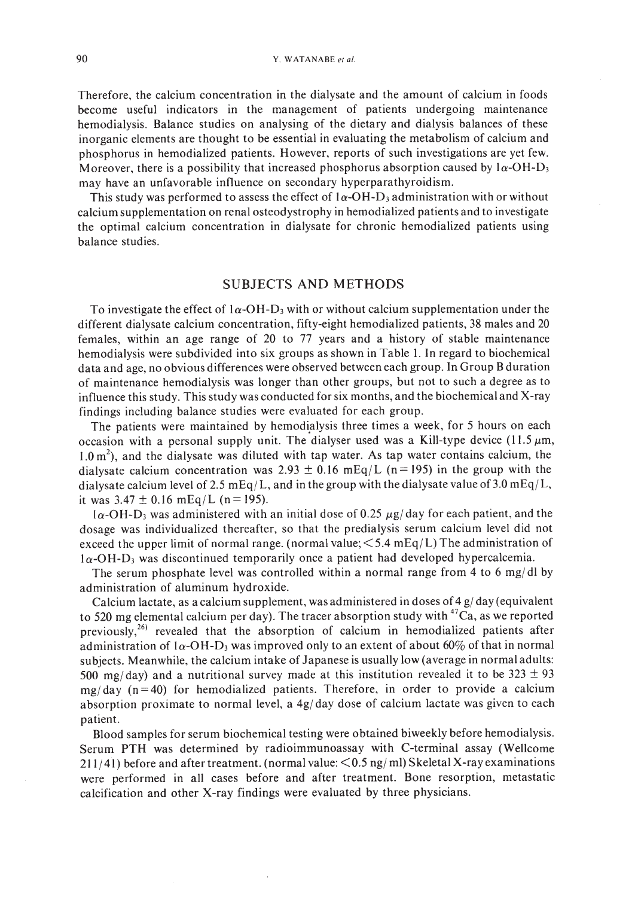Therefore, the calcium concentration in the dialysate and the amount of calcium in foods become useful indicators in the management of patients undergoing maintenance hemodialysis. Balance studies on analysing of the dietary and dialysis balances of these inorganic elements are thought to be essential in evaluating the metabolism of calcium and phosphorus in hemodialized patients. However, reports of such investigations are yet few. Moreover, there is a possibility that increased phosphorus absorption caused by  $1\alpha$ -OH-D<sub>3</sub> may have an unfavorable influence on secondary hyperparathyroidism.

This study was performed to assess the effect of  $1\alpha$ -OH-D<sub>3</sub> administration with or without calcium supplementation on renal osteodystrophy in hemodialized patients and to investigate the optimal calcium concentration in dialysate for chronic hemodialized patients using balance studies.

#### SUBJECTS AND METHODS

To investigate the effect of  $1\alpha$ -OH-D<sub>3</sub> with or without calcium supplementation under the different dialysate calcium concentration, fifty-eight hemodialized patients, 38 males and 20 females, within an age range of 20 to 77 years and a history of stable maintenance hemodialysis were subdivided into six groups as shown in Table I. In regard to biochemical data and age, no obvious differences were observed between each group. In Group Bduration of maintenance hemodialysis was longer than other groups, but not to such a degree as to influence this study. This study was conducted for six months, and the biochemical and X-ray findings including balance studies were evaluated for each group.

The patients were maintained by hemodialysis three times a week, for 5 hours on each occasion with a personal supply unit. The dialyser used was a Kill-type device (11.5  $\mu$ m,  $1.0 \text{ m}^2$ ), and the dialysate was diluted with tap water. As tap water contains calcium, the dialysate calcium concentration was 2.93  $\pm$  0.16 mEq/L (n=195) in the group with the dialysate calcium level of 2.5 mEq/L, and in the group with the dialysate value of 3.0 mEq/L, it was  $3.47 \pm 0.16$  mEq/L (n = 195).

 $1\alpha$ -OH-D<sub>3</sub> was administered with an initial dose of 0.25  $\mu$ g/ day for each patient, and the dosage was individualized thereafter, so that the predialysis serum calcium level did not exceed the upper limit of normal range. (normal value;  $\leq 5.4 \text{ mEq/L}$ ) The administration of  $1\alpha$ -OH-D<sub>3</sub> was discontinued temporarily once a patient had developed hypercalcemia.

The serum phosphate level was controlled within a normal range from 4 to 6 mg/dl by administration of aluminum hydroxide.

Calcium lactate, as a calcium supplement, was administered in doses of  $4$  g/day (equivalent to 520 mg elemental calcium per day). The tracer absorption study with  $47\text{Ca}$ , as we reported previously,<sup>26)</sup> revealed that the absorption of calcium in hemodialized patients after administration of  $1\alpha$ -OH-D<sub>3</sub> was improved only to an extent of about 60% of that in normal subjects. Meanwhile, the calcium intake of Japanese is usually low (average in normal adults: 500 mg/day) and a nutritional survey made at this institution revealed it to be  $323 \pm 93$  $mg/day$  (n=40) for hemodialized patients. Therefore, in order to provide a calcium absorption proximate to normal level, a  $4g/day$  dose of calcium lactate was given to each patient.

Blood samples for serum biochemical testing were obtained biweekly before hemodialysis. Serum PTH was determined by radioimmunoassay with C-terminal assay (Wellcome 211/41) before and after treatment. (normal value: <0.5 ng/ ml) Skeletal X-ray examinations were performed in all cases before and after treatment. Bone resorption, metastatic calcification and other X-ray findings were evaluated by three physicians.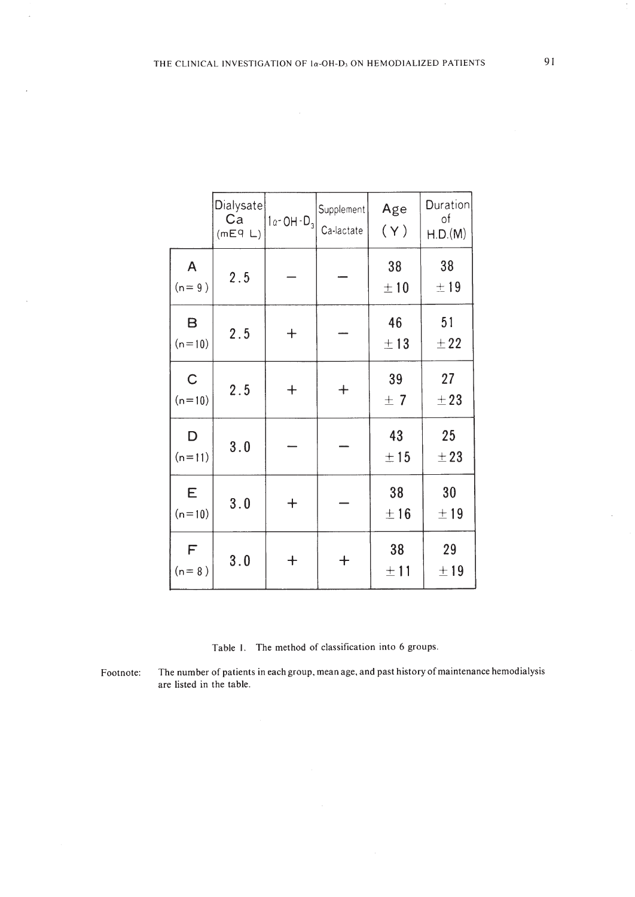|                         | Dialysate<br>Ca<br>(mE9 L) | $1a - OH - D_3$  | Supplement<br>Ca-lactate | Age<br>(Y)     | Duration<br>of<br>H.D.(M) |
|-------------------------|----------------------------|------------------|--------------------------|----------------|---------------------------|
| A<br>$(n=9)$            | 2.5                        |                  |                          | 38<br>±10      | 38<br>±19                 |
| B<br>$(n=10)$           | $2.5$                      | $\boldsymbol{+}$ |                          | 46<br>±13      | 51<br>±22                 |
| $\mathsf C$<br>$(n=10)$ | 2.5                        | $\ddag$          | $^{+}$                   | 39<br>±7       | 27<br>$\pm 23$            |
| D<br>$(n=11)$           | 3.0                        |                  |                          | 43<br>±15      | 25<br>± 23                |
| E<br>$(n=10)$           | 3.0                        | $\mathrm{+}$     |                          | 38<br>±16      | 30<br>±19                 |
| F<br>$(n=8)$            | 3.0                        | ┿                | ┿                        | 38<br>$\pm 11$ | 29<br>$\pm$ 19            |

Table I. The method of classification into 6 groups.

 $\cdot$ 

 $\cdot$ 

Footnote: The number of patients in each group, mean age, and past history of maintenance hemodialysis are listed in the table.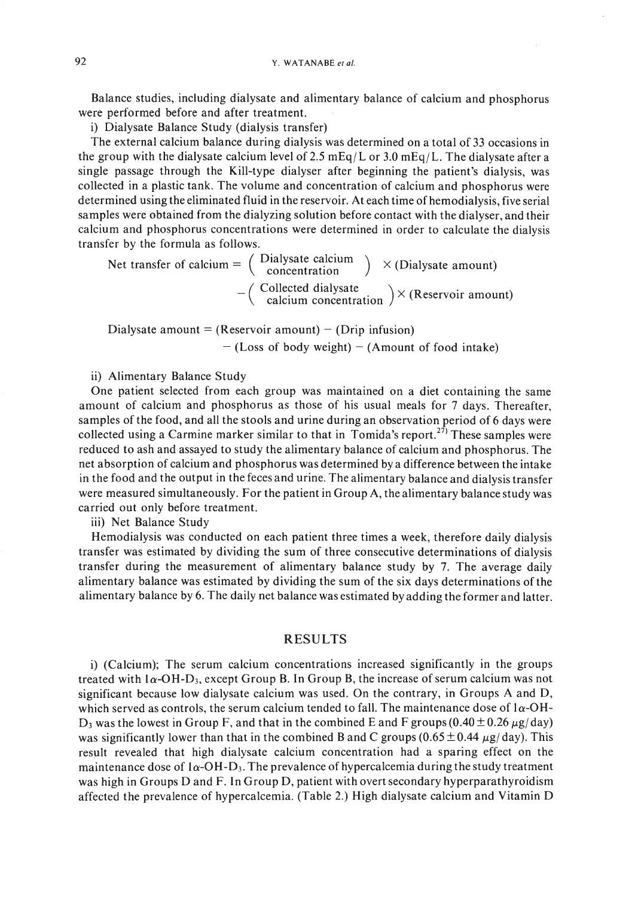Balance studies, including dialysate and alimentary balance of calcium and phosphorus were performed before and after treatment.

i) Dialysate Balance Study (dialysis transfer)

The external calcium balance during dialysis was determined on a total of 33 occasions in the group with the dialysate calcium level of 2.5 mEq/L or 3.0 mEq/L. The dialysate after a single passage through the Kill-type dialyser after beginning the patient's dialysis, was collected in a plastic tank. The volume and concentration of calcium and phosphorus were determined using the eliminated fluid in the reservoir. At each time of hemodialysis, five serial samples were obtained from the dialyzing solution before contact with the dialyser, and their calcium and phosphorus concentrations were determined in order to calculate the dialysis transfer by the formula as follows.

Net transfer of calcium =  $\begin{pmatrix}$  Dialysate calcium  $\end{pmatrix} \times$  (Dialysate amount)  $-$  (Collected dialysate<br>calcium concentration  $\times$  (Reservoir amount)

Dialysate amount = (Reservoir amount) - (Drip infusion)  $-$  (Loss of body weight)  $-$  (Amount of food intake)

ii) Alimentary Balance Study

One patient selected from each group was maintained on a diet containing the same amount of calcium and phosphorus as those of his usual meals for 7 days. Thereafter, samples of the food, and all the stools and urine during an observation period of 6 days were collected using a Carmine marker similar to that in Tomida's report.<sup>27)</sup> These samples were reduced to ash and assayed to study the alimentary balance of calcium and phosphorus. The net absorption of calcium and phosphorus was determined by a difference between the intake in the food and the output in the feces and urine. The alimentary balance and dialysis transfer were measured simultaneously. For the patient in Group A, the alimentary balance study was carried out only before treatment.

iii) Net Balance Study

Hemodialysis was conducted on each patient three times a week, therefore daily dialysis transfer was estimated by dividing the sum of three consecutive determinations of dialysis transfer during the measurement of alimentary balance study by 7. The average daily alimentary balance was estimated by dividing the sum of the six days determinations of the alimentary balance by 6. The daily net balance was estimated by adding the former and latter.

## RESULTS

i) (Calcium); The serum calcium concentrations increased significantly in the groups treated with  $1\alpha$ -OH-D<sub>3</sub>, except Group B. In Group B, the increase of serum calcium was not significant because low dialysate calcium was used. On the contrary, in Groups A and D, which served as controls, the serum calcium tended to fall. The maintenance dose of  $1\alpha$ -OH- $D_3$  was the lowest in Group F, and that in the combined E and F groups (0.40  $\pm$  0.26  $\mu$ g/day) was significantly lower than that in the combined B and C groups ( $0.65 \pm 0.44 \mu g/day$ ). This result revealed that high dialysate calcium concentration had a sparing effect on the maintenance dose of  $1\alpha$ -OH-D<sub>3</sub>. The prevalence of hypercalcemia during the study treatment was high in Groups D and F. In Group D, patient with overt secondary hyperparathyroidism affected the prevalence of hypercalcemia. (Table 2.) High dialysate calcium and Vitamin D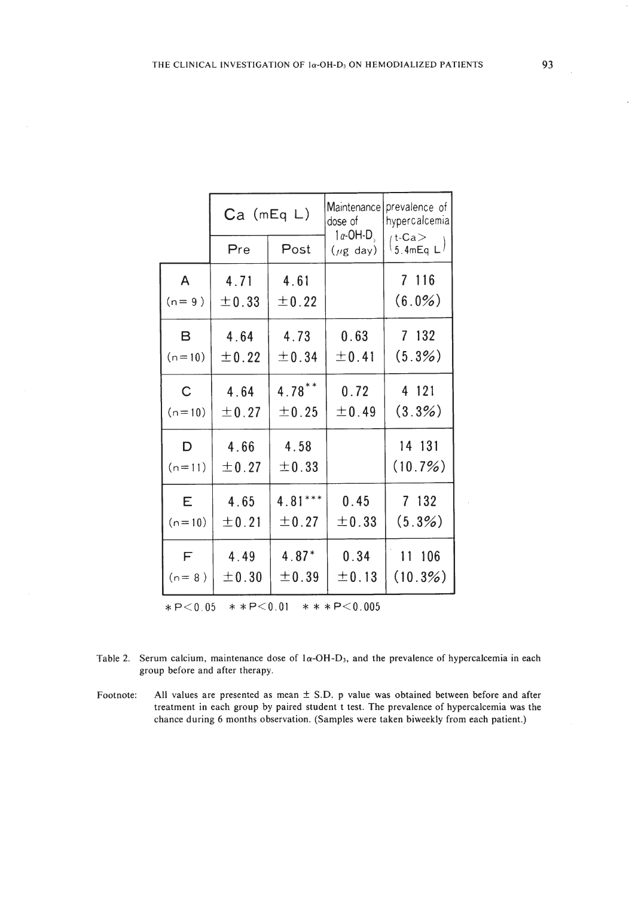|                                                  | $Ca$ (mEq $L$ ) |           | Maintenance<br>dose of<br>$1a$ -OH-D $\overline{a}$ | prevalence of<br>hypercalcemia                    |  |  |  |
|--------------------------------------------------|-----------------|-----------|-----------------------------------------------------|---------------------------------------------------|--|--|--|
|                                                  | Pre             | Post      | $(\mu g \text{ day})$                               | $t$ -Ca $>$<br>$\frac{1}{3}$ .4mEq L <sup>1</sup> |  |  |  |
| A                                                | 4.71            | 4.61      |                                                     | 7 116                                             |  |  |  |
| $(n=9)$                                          | ±0.33           | ±0.22     |                                                     | $(6.0\%)$                                         |  |  |  |
| B                                                | 4.64            | 4.73      | 0.63                                                | 7 132                                             |  |  |  |
| $(n=10)$                                         | ±0.22           | ±0.34     | ±0.41                                               | (5.3%)                                            |  |  |  |
| $\mathsf{C}$                                     | 4.64            | $4.78***$ | 0.72                                                | 4 121                                             |  |  |  |
| $(n=10)$                                         | ±0.27           | ±0.25     | ±0.49                                               | (3.3%)                                            |  |  |  |
| D                                                | 4.66            | 4.58      |                                                     | 14 131                                            |  |  |  |
| $(n=11)$                                         | ±0.27           | ± 0.33    |                                                     | (10.7%)                                           |  |  |  |
| E                                                | 4.65            | $4.81***$ | 0.45                                                | 7 132                                             |  |  |  |
| $(n=10)$                                         | ±0.21           | ±0.27     | ±0.33                                               | (5.3%)                                            |  |  |  |
| $-F$                                             | 4.49            | $4.87*$   | 0.34                                                | 11 106                                            |  |  |  |
| $(n = 8)$                                        | ±0.30           | ±0.39     | ±0.13                                               | (10.3%)                                           |  |  |  |
| $* * P < 0.01$<br>$* * * P < 0.005$<br>$*P<0.05$ |                 |           |                                                     |                                                   |  |  |  |

| Table 2. Serum calcium, maintenance dose of $1\alpha$ -OH-D <sub>3</sub> , and the prevalence of hypercalcemia in each |
|------------------------------------------------------------------------------------------------------------------------|
| group before and after therapy.                                                                                        |

Footnote: All values are presented as mean ± S.D. p value was obtained between before and after treatment in each group by paired student t test. The prevalence of hypercalcemia was the chance during 6 months observation. (Samples were taken biweekly from each patient.)

 $\ddot{\phantom{a}}$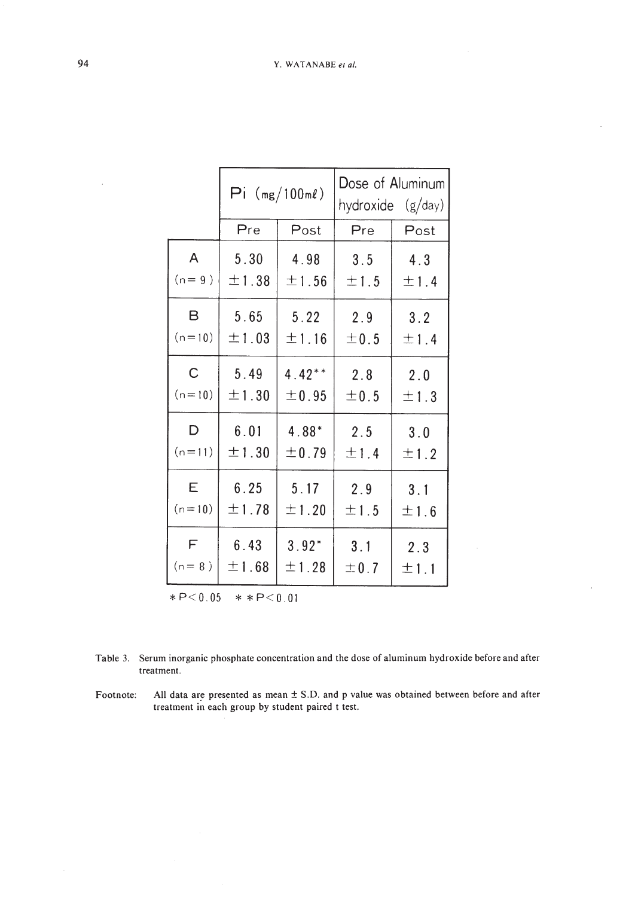|                             | $Pi (mg/100m\ell)$              |                  | Dose of Aluminum<br>hydroxide (g/day) |             |  |  |
|-----------------------------|---------------------------------|------------------|---------------------------------------|-------------|--|--|
|                             | Pre                             | Post             | Pre                                   | Post        |  |  |
| $\overline{A}$              | 5.30                            | 4.98             | 3.5                                   | 4.3         |  |  |
| $(n=9)$                     | ±1.38                           | ±1.56            | ±1.5                                  | ±1.4        |  |  |
| B                           | 5.65                            | 5.22             | 2.9                                   | 3.2         |  |  |
| $(n=10)$                    | $\pm$ 1 . 03                    | ±1.16            | ±0.5                                  | ±1.4        |  |  |
| $\mathsf{C}^-$              | 5.49                            | $4.42**$         | 2.8                                   | 2.0         |  |  |
| $(n=10)$                    | ±1.30                           | ±0.95            | ±0.5                                  | $\pm$ 1.3   |  |  |
| D                           | 6.01                            | 4.88*            | 2.5                                   | 3.0         |  |  |
| $(n=11)$                    | ±1.30                           | ±0.79            | ±1.4                                  | ±1.2        |  |  |
| E                           | 6.25                            | 5.17             | 2.9                                   | 3.1         |  |  |
| $(n=10)$                    | ±1.78                           | ±1.20            | ±1.5                                  | ±1.6        |  |  |
| F<br>$(n=8)$<br>$*P < 0.05$ | 6.43<br>±1.68<br>$* * P < 0.01$ | $3.92*$<br>±1.28 | 3.1<br>±0.7                           | 2.3<br>±1.1 |  |  |

Table 3. Serum inorganic phosphate concentration and the dose of aluminum hydroxide before and after treatment.

l,

Footnote: All data are presented as mean  $\pm$  S.D. and p value was obtained between before and after treatment in each group by student paired t test.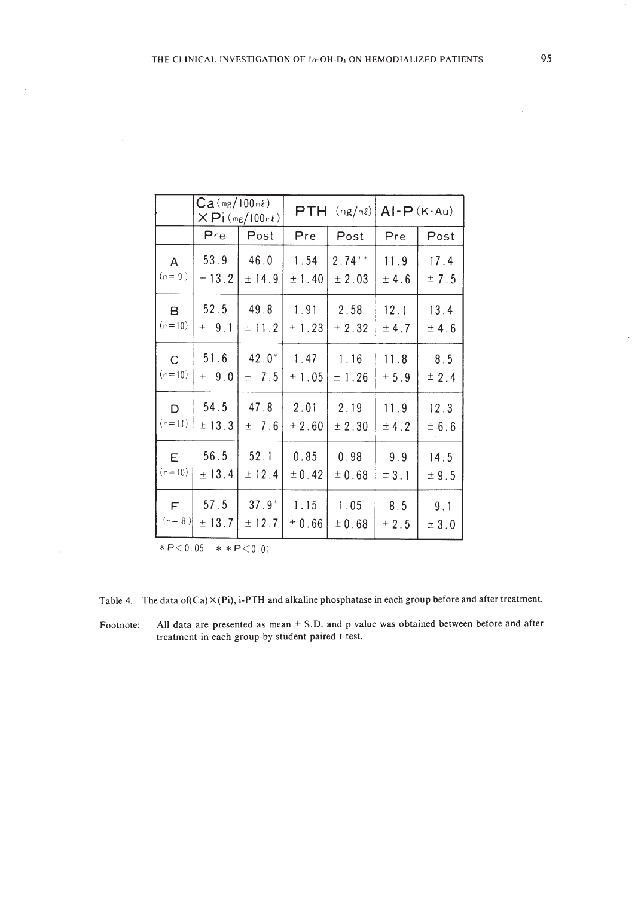|              | $Ca(mg/100m\ell)$ | $\times$ Pi (mg/100ml) |        | $PTH$ (ng/ml) | $AI-P(K-Au)$ |             |  |
|--------------|-------------------|------------------------|--------|---------------|--------------|-------------|--|
|              | Pre<br>Post       |                        | Pre    | Post          | Pre          | Post        |  |
| $\mathsf{A}$ | 53.9              | 46.0                   | 1.54   | $2.74***$     | 11.9         | 17.4        |  |
| $(n=9)$      | ± 13.2            | ±14.9                  | ±1.40  | ± 2.03        | ± 4.6        | ± 7.5       |  |
| в            | 52.5              | 49.8                   | 1.91   | 2.58          | 12.1         | 13.4        |  |
| $(n=10)$     | ± 9.1             | ± 11.2                 | ± 1.23 | ± 2.32        | ± 4.7        | ± 4.6       |  |
| $\mathsf{C}$ | 51.6              | $42.0*$                | 1.47   | 1.16          | 11.8         | 8.5         |  |
| $(n=10)$     | ± 9.0             | $\pm$ 7.5              | ±1.05  | ± 1.26        | ± 5.9        | ± 2.4       |  |
| D            | 54.5              | 47.8                   | 2.01   | 2.19          | 11.9         | 12.3        |  |
| $(n=11)$     | ±13.3             | ±7.6                   | ± 2.60 | ± 2.30        | ± 4.2        | $\pm$ 6 . 6 |  |
| E.           | 56.5              | 52.1                   | 0.85   | 0.98          | 9.9          | 14.5        |  |
| $(n=10)$     | ± 13.4            | ± 12.4                 | ± 0.42 | ± 0.68        | ± 3.1        | ± 9.5       |  |
| F            | 57.5              | $37.9*$                | 1.15   | 1.05          | 8.5          | 9.1         |  |
| $(n=8)$      | ± 13.7            | ± 12.7                 | ± 0.66 | ± 0.68        | ± 2.5        | $\pm$ 3 . 0 |  |

 $*P<0.05$   $*$   $*P<0.01$ 

 $\ddot{\phantom{a}}$ 

Table 4. The data of  $(Ca) \times (Pi)$ , i-PTH and alkaline phosphatase in each group before and after treatment.

Footnote: All data are presented as mean ± S.D. and p value was obtained between before and after treatment in each group by student paired t test.

 $\hat{\boldsymbol{\beta}}$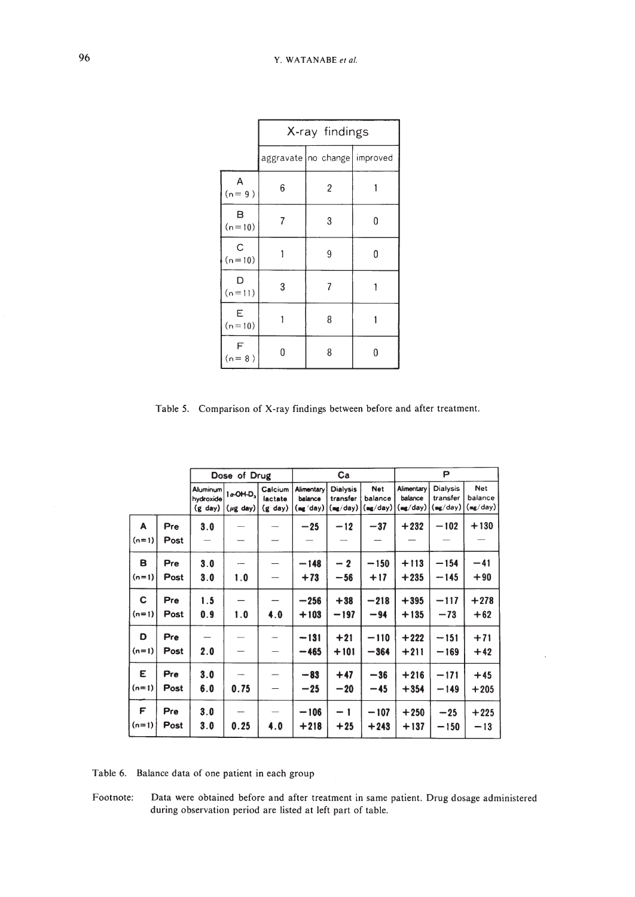|               | X-ray findings |                                  |   |  |  |  |
|---------------|----------------|----------------------------------|---|--|--|--|
|               |                | aggravate   no change   improved |   |  |  |  |
| Α<br>$(n=9)$  | 6              | 2                                |   |  |  |  |
| в<br>$(n=10)$ | 7              | 3                                | O |  |  |  |
| C<br>$(n=10)$ |                | 9                                | 0 |  |  |  |
| D<br>$(n=11)$ | 3              | 7                                |   |  |  |  |
| Ε<br>$(n=10)$ |                | 8                                |   |  |  |  |
| F<br>$(n=8)$  | N              | 8                                | O |  |  |  |

Table 5. Comparison of X-ray findings between before and after treatment.

|         |      | Dose of Drug                               |                                                 |                                 | Ca                                |                                         |                            | P                                 |                                         |                                   |
|---------|------|--------------------------------------------|-------------------------------------------------|---------------------------------|-----------------------------------|-----------------------------------------|----------------------------|-----------------------------------|-----------------------------------------|-----------------------------------|
|         |      | Aluminum<br>hydroxide<br>$(g \text{ day})$ | $1a$ OH-D <sub>3</sub><br>$(\mu g \text{ day})$ | Calcium<br>lactate<br>$(g$ day) | Alimentary<br>balance<br>(mgʻday) | <b>Dialysis</b><br>transfer<br>(mg/day) | Net<br>balance<br>(mg/day) | Alimentary<br>balance<br>(mg/day) | <b>Dialysis</b><br>transfer<br>(mg/day) | <b>Net</b><br>balance<br>(mg/day) |
| A       | Pre  | 3.0                                        |                                                 |                                 | $-25$                             | $-12$                                   | $-37$                      | $+232$                            | $-102$                                  | $+130$                            |
| $(n=1)$ | Post |                                            |                                                 |                                 |                                   |                                         |                            |                                   |                                         |                                   |
| в       | Pre  | 3.0                                        |                                                 |                                 | $-148$                            | $-2$                                    | $-150$                     | $+113$                            | $-154$                                  | $-41$                             |
| $(n=1)$ | Post | 3.0                                        | 1.0                                             | $\overline{\phantom{0}}$        | $+73$                             | $-56$                                   | $+17$                      | $+235$                            | $-145$                                  | $+90$                             |
| C       | Pre  | 1.5                                        |                                                 |                                 | $-256$                            | $+38$                                   | $-218$                     | $+395$                            | $-117$                                  | $+278$                            |
| $(n=1)$ | Post | 0.9                                        | 1.0                                             | 4.0                             | $+103$                            | $-197$                                  | $-94$                      | $+135$                            | $-73$                                   | $+62$                             |
| D       | Pre  |                                            |                                                 | -                               | $-131$                            | $+21$                                   | $-110$                     | $+222$                            | $-151$                                  | $+71$                             |
| $(n=1)$ | Post | 2.0                                        |                                                 | $\sim$                          | $-465$                            | $+101$                                  | $-364$                     | $+211$                            | $-169$                                  | $+42$                             |
| E       | Pre  | 3.0                                        |                                                 |                                 | $-83$                             | $+47$                                   | $-36$                      | $+216$                            | $-171$                                  | $+45$                             |
| $(n=1)$ | Post | 6.0                                        | 0.75                                            |                                 | $-25$                             | $-20$                                   | $-45$                      | $+354$                            | $-149$                                  | $+205$                            |
| F       | Pre  | 3.0                                        |                                                 |                                 | $-106$                            | $-1$                                    | $-107$                     | $+250$                            | $-25$                                   | $+225$                            |
| $(n=1)$ | Post | 3.0                                        | 0.25                                            | 4.0                             | $+218$                            | $+25$                                   | $+243$                     | $+137$                            | $-150$                                  | $-13$                             |

Table 6. Balance data of one patient in each group

Footnote: Data were obtained before and after treatment in same patient. Drug dosage administered during observation period are listed at left part of table.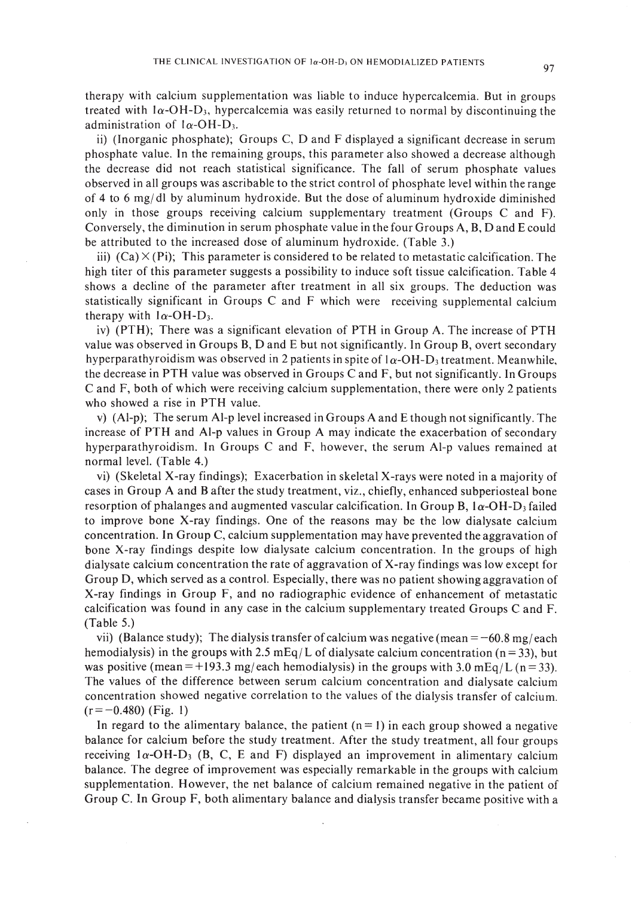therapy with calcium supplementation was liable to induce hypercalcemia. But in groups treated with  $1\alpha$ -OH-D<sub>3</sub>, hypercalcemia was easily returned to normal by discontinuing the administration of  $1\alpha$ -OH-D<sub>3</sub>.

ii) (Inorganic phosphate); Groups C, D and F displayed a significant decrease in serum phosphate value. In the remaining groups, this parameter also showed a decrease although the decrease did not reach statistical significance. The fall of serum phosphate values observed in all groups was ascribable to the strict control of phosphate level within the range of 4 to 6 mg/dl by aluminum hydroxide. But the dose of aluminum hydroxide diminished only in those groups receiving calcium supplementary treatment (Groups C and F). Conversely, the diminution in serum phosphate value in the four Groups A, B, D and E could be attributed to the increased dose of aluminum hydroxide. (Table 3.)

iii)  $(Ca) \times (Pi)$ ; This parameter is considered to be related to metastatic calcification. The high titer of this parameter suggests a possibility to induce soft tissue calcification. Table 4 shows a decline of the parameter after treatment in all six groups. The deduction was statistically significant in Groups C and F which were receiving supplemental calcium therapy with  $1\alpha$ -OH-D<sub>3</sub>.

iv) (PTH); There was a significant elevation of PTH in Group A. The increase of PTH value was observed in Groups B, D and E but not significantly. In Group B, overt secondary hyperparathyroidism was observed in 2 patients in spite of  $1\alpha$ -OH-D<sub>3</sub> treatment. Meanwhile, the decrease in PTH value was observed in Groups C and F, but not significantly. In Groups C and F, both of which were receiving calcium supplementation, there were only 2 patients who showed a rise in PTH value.

v) (Al-p); The serum AI-p level increased in Groups A and E though not significantly. The increase of PTH and Al-p values in Group A may indicate the exacerbation of secondary hyperparathyroidism. In Groups C and F, however, the serum Al-p values remained at normal level. (Table 4.)

vi) (Skeletal X-ray findings); Exacerbation in skeletal X-rays were noted in a majority of cases in Group A and B after the study treatment, viz., chiefly, enhanced subperiosteal bone resorption of phalanges and augmented vascular calcification. In Group B,  $1\alpha$ -OH-D<sub>3</sub> failed to improve bone X-ray findings. One of the reasons may be the low dialysate calcium concentration. In Group C, calcium supplementation may have prevented the aggravation of bone X-ray findings despite low dialysate calcium concentration. In the groups of high dialysate calcium concentration the rate of aggravation of X-ray findings was low except for Group D, which served as a control. Especially, there was no patient showing aggravation of X-ray findings in Group F, and no radiographic evidence of enhancement of metastatic calcification was found in any case in the calcium supplementary treated Groups C and F. (Table 5.)

vii) (Balance study); The dialysis transfer of calcium was negative (mean  $= -60.8$  mg/each hemodialysis) in the groups with 2.5 mEq/L of dialysate calcium concentration ( $n = 33$ ), but was positive (mean = +193.3 mg/each hemodialysis) in the groups with 3.0 mEq/L (n = 33). The values of the difference between serum calcium concentration and dialysate calcium concentration showed negative correlation to the values of the dialysis transfer of calcium.  $(r=-0.480)$  (Fig. 1)

In regard to the alimentary balance, the patient  $(n = 1)$  in each group showed a negative balance for calcium before the study treatment. After the study treatment, all four groups receiving  $1\alpha$ -OH-D<sub>3</sub> (B, C, E and F) displayed an improvement in alimentary calcium balance. The degree of improvement was especially remarkable in the groups with calcium supplementation. However, the net balance of calcium remained negative in the patient of Group C. In Group F, both alimentary balance and dialysis transfer became positive with a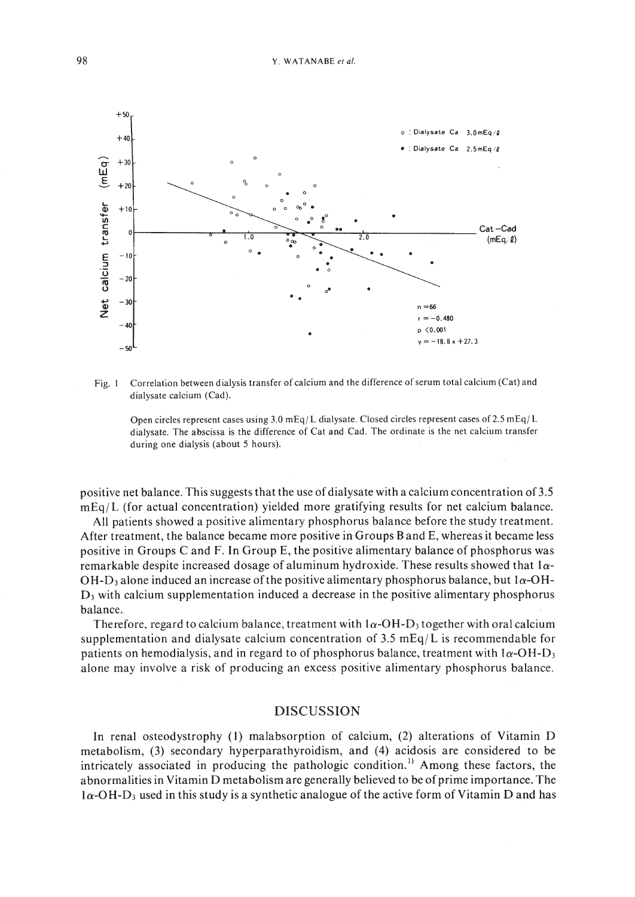

Fig. I Correlation between dialysis transfer of calcium and the difference ofserum total calcium (Cat) and dialysate calcium (Cad).

Open circles represent cases using 3.0 mEq/L dialysate. Closed circles represent cases of 2.5 mEq/L dialysate. The abscissa is the difference of Cat and Cad. The ordinate is the net calcium transfer during one dialysis (about 5 hours).

positive net balance. This suggests that the use of dialysate with a calcium concentration of3.5  $mEq/L$  (for actual concentration) yielded more gratifying results for net calcium balance.

All patients showed a positive alimentary phosphorus balance before the study treatment. After treatment, the balance became more positive in Groups Band E, whereas it became less positive in Groups C and F. In Group E, the positive alimentary balance of phosphorus was remarkable despite increased dosage of aluminum hydroxide. These results showed that  $1\alpha$ -OH-D<sub>3</sub> alone induced an increase of the positive alimentary phosphorus balance, but  $1\alpha$ -OH-D3 with calcium supplementation induced a decrease in the positive alimentary phosphorus balance..

Therefore, regard to calcium balance, treatment with  $1\alpha$ -OH-D<sub>3</sub> together with oral calcium supplementation and dialysate calcium concentration of 3.5 mEq/L is recommendable for patients on hemodialysis, and in regard to of phosphorus balance, treatment with  $1\alpha$ -OH-D<sub>3</sub> alone may involve a risk of producing an excess positive alimentary phosphorus balance.

### DISCUSSION

In renal osteodystrophy (I) malabsorption of calcium, (2) alterations of Vitamin D metabolism, (3) secondary hyperparathyroidism, and (4) acidosis are considered to be intricately associated in producing the pathologic condition.<sup>1)</sup> Among these factors, the abnormalities in Vitamin D metabolism are generally believed to be of prime importance. The I*a-O* H-D3 used in this study is a synthetic analogue of the active form of Vitamin D and has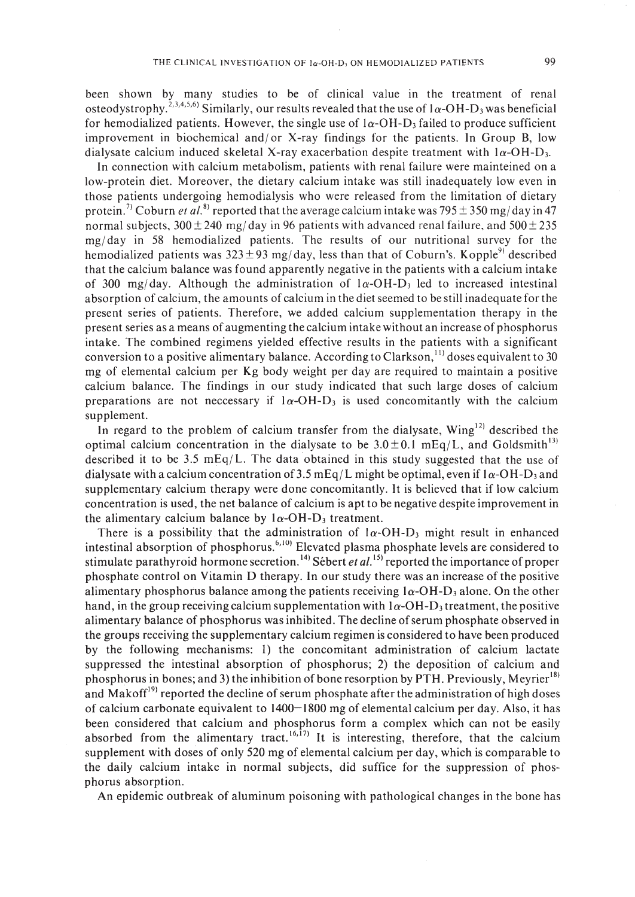been shown by many studies to be of clinical value in the treatment of renal osteodystrophy.<sup>2,3,4,5,6)</sup> Similarly, our results revealed that the use of  $1\alpha$ -OH-D<sub>3</sub> was beneficial for hemodialized patients. However, the single use of  $1\alpha$ -OH-D<sub>3</sub> failed to produce sufficient improvement in biochemical and/or X-ray findings for the patients. In Group B, low dialysate calcium induced skeletal X-ray exacerbation despite treatment with  $1\alpha$ -OH-D<sub>3</sub>.

In connection with calcium metabolism, patients with renal failure were mainteined on a low-protein diet. Moreover, the dietary calcium intake was still inadequately low even in those patients undergoing hemodialysis who were released from the limitation of dietary protein. <sup>7)</sup> Coburn *et al*.  $8$ <sup>)</sup> reported that the average calcium intake was 795  $\pm$  350 mg/day in 47 normal subjects,  $300 \pm 240$  mg/day in 96 patients with advanced renal failure, and  $500 \pm 235$ mg/ day in 58 hemodialized patients. The results of our nutritional survey for the hemodialized patients was  $323 \pm 93$  mg/day, less than that of Coburn's. Kopple<sup>9)</sup> described that the calcium balance was found apparently negative in the patients with a calcium intake of 300 mg/day. Although the administration of  $1\alpha$ -OH-D<sub>3</sub> led to increased intestinal absorption of calcium, the amounts of calcium in the diet seemed to be still inadequate for the present series of patients. Therefore, we added calcium supplementation therapy in the present series as a means of augmenting the calcium intake without an increase of phosphorus intake. The combined regimens yielded effective results in the patients with a significant conversion to a positive alimentary balance. According to Clarkson,<sup>11</sup> doses equivalent to 30 mg of elemental calcium per Kg body weight per day are required to maintain a positive calcium balance. The findings in our study indicated that such large doses of calcium preparations are not necessary if  $1\alpha$ -OH-D<sub>3</sub> is used concomitantly with the calcium supplement.

In regard to the problem of calcium transfer from the dialysate,  $Wing<sup>12</sup>$  described the optimal calcium concentration in the dialysate to be  $3.0 \pm 0.1$  mEq/L, and Goldsmith<sup>13</sup> described it to be 3.5 mEq/L. The data obtained in this study suggested that the use of dialysate with a calcium concentration of 3.5 mEq/L might be optimal, even if  $1\alpha$ -OH-D<sub>3</sub> and supplementary calcium therapy were done concomitantly. It is believed that if low calcium concentration is used, the net balance of calcium is apt to be negative despite improvement in the alimentary calcium balance by  $1\alpha$ -OH-D<sub>3</sub> treatment.

There is a possibility that the administration of  $1\alpha$ -OH-D<sub>3</sub> might result in enhanced intestinal absorption of phosphorus.<sup>6,10)</sup> Elevated plasma phosphate levels are considered to stimulate parathyroid hormone secretion. 14) Sebert *et a1.* <sup>15</sup> ) reported the importance of proper phosphate control on Vitamin 0 therapy. In our study there was an increase of the positive alimentary phosphorus balance among the patients receiving  $1\alpha$ -OH-D<sub>3</sub> alone. On the other hand, in the group receiving calcium supplementation with  $1\alpha$ -OH-D<sub>3</sub> treatment, the positive alimentary balance of phosphorus was inhibited. The decline ofserum phosphate observed in the groups receiving the supplementary calcium regimen is considered to have been produced by the following mechanisms: I) the concomitant administration of calcium lactate suppressed the intestinal absorption of phosphorus; 2) the deposition of calcium and phosphorus in bones; and 3) the inhibition of bone resorption by PTH. Previously, Meyrier<sup>181</sup> and Makoff<sup>19)</sup> reported the decline of serum phosphate after the administration of high doses of calcium carbonate equivalent to 1400-1800 mg of elemental calcium per day. Also, it has been considered that calcium and phosphorus form a complex which can not be easily absorbed from the alimentary tract.  $16,17$  It is interesting, therefore, that the calcium supplement with doses of only 520 mg of elemental calcium per day, which is comparable to the daily calcium intake in normal subjects, did suffice for the suppression of phosphorus absorption.

An epidemic outbreak of aluminum poisoning with pathological changes in the bone has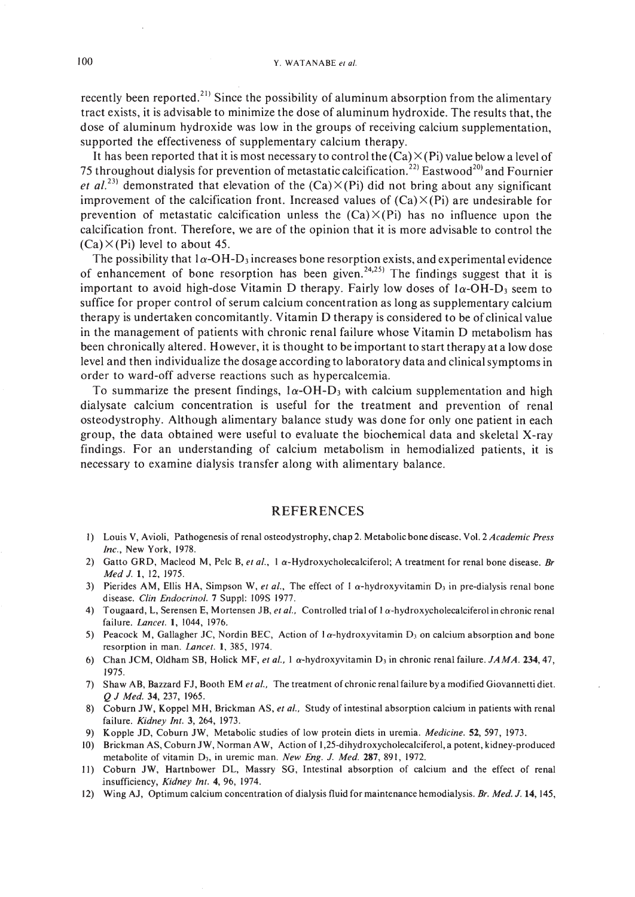recently been reported.<sup>21)</sup> Since the possibility of aluminum absorption from the alimentary tract exists, it is advisable to minimize the dose of aluminum hydroxide. The results that, the dose of aluminum hydroxide was low in the groups of receiving calcium supplementation, supported the effectiveness of supplementary calcium therapy.

It has been reported that it is most necessary to control the  $(Ca) \times (Pi)$  value below a level of 75 throughout dialysis for prevention of metastatic calcification.<sup>22)</sup> Eastwood<sup>20</sup> and Fournier et al.<sup>23)</sup> demonstrated that elevation of the  $(Ca) \times (Pi)$  did not bring about any significant improvement of the calcification front. Increased values of  $(Ca) \times (Pi)$  are undesirable for prevention of metastatic calcification unless the  $(Ca) \times (Pi)$  has no influence upon the calcification front. Therefore, we are of the opinion that it is more advisable to control the  $(Ca) \times (Pi)$  level to about 45.

The possibility that  $1\alpha$ -OH-D<sub>3</sub> increases bone resorption exists, and experimental evidence of enhancement of bone resorption has been given.<sup>24,25)</sup> The findings suggest that it is important to avoid high-dose Vitamin D therapy. Fairly low doses of  $1\alpha$ -OH-D<sub>3</sub> seem to suffice for proper control of serum calcium concentration as long as supplementary calcium therapy is undertaken concomitantly. Vitamin D therapy is considered to be of clinical value in the management of patients with chronic renal failure whose Vitamin D metabolism has been chronically altered. However, it is thought to be important to start therapy at a low dose level and then individualize the dosage according to laboratory data and clinical symptoms in order to ward-off adverse reactions such as hypercalcemia.

To summarize the present findings,  $1\alpha$ -OH-D<sub>3</sub> with calcium supplementation and high dialysate calcium concentration is useful for the treatment and prevention of renal osteodystrophy. Although alimentary balance study was done for only one patient in each group, the data obtained were useful to evaluate the biochemical data and skeletal X-ray findings. For an understanding of calcium metabolism in hemodialized patients, it is necessary to examine dialysis transfer along with alimentary balance.

#### REFERENCES

- I) Louis V, Avioli, Pathogenesis of renal osteodystrophy, chap 2. Metabolic bone disease. Vol. 2 *Academic Press Inc.,* New York, 1978.
- 2) Gatto GRO, Macleod M, Pelc B, *et al.,* 1 a-Hydroxycholecalciferol; A treatment for renal bone disease. *Br Med J.* 1, 12, 1975.
- 3) Pierides AM, Ellis HA, Simpson W, *et al.*, The effect of  $1 \alpha$ -hydroxyvitamin D<sub>3</sub> in pre-dialysis renal bone disease. *Clin Endocrinol.* 7 Suppl: I09S 1977.
- 4) Tougaard, L, Serensen E, Mortensen JB, *et al.,* Controlled trial of 1a-hydroxycholecalciferol in chronic renal failure. *Lancet.* 1, 1044, 1976.
- 5) Peacock M, Gallagher JC, Nordin BEC, Action of  $1\alpha$ -hydroxyvitamin D<sub>3</sub> on calcium absorption and bone resorption in man. *Lancet.* 1, 385, 1974.
- 6) Chan JCM, Oldham SB, Holick MF, *et al.,* I a-hydroxyvitamin 0 <sup>3</sup> in chronic renal failure. *JAMA.* 234,47, 1975.
- 7) Shaw AB, Bazzard FJ, Booth EM *et al..* The treatment of chronic renal failure by a modified Giovannetti diet. *Q J Med.* 34, 237, 1965.
- 8) Coburn JW, Koppel MH, Brickman AS, *et 01.,* Study of intestinal absorption calcium in patients with renal failure. *Kidney Int.* 3, 264, 1973.
- 9) Kopple JO, Coburn JW, Metabolic studies of low protein diets in uremia. *Medicine.* 52,597, 1973.
- 10) Brickman AS, Coburn JW, Norman AW, Action of I,25-dihydroxycholecalciferol, a potent, kidney-produced metabolite of vitamin D<sub>3</sub>, in uremic man. *New Eng. J. Med.* 287, 891, 1972.
- II) Coburn JW, Hartnbower OL, Massry SG, Intestinal absorption of calcium and the effect of renal insufficiency, *Kidney Int.* **4,** 96, 1974.
- 12) Wing AJ, Optimum calcium concentration of dialysis fluid for maintenance hemodialysis. *Br. Med.* J. **14,** 145,